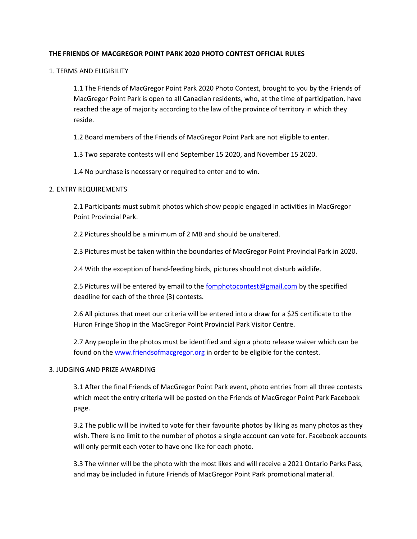# **THE FRIENDS OF MACGREGOR POINT PARK 2020 PHOTO CONTEST OFFICIAL RULES**

1. TERMS AND ELIGIBILITY

1.1 The Friends of MacGregor Point Park 2020 Photo Contest, brought to you by the Friends of MacGregor Point Park is open to all Canadian residents, who, at the time of participation, have reached the age of majority according to the law of the province of territory in which they reside.

1.2 Board members of the Friends of MacGregor Point Park are not eligible to enter.

1.3 Two separate contests will end September 15 2020, and November 15 2020.

1.4 No purchase is necessary or required to enter and to win.

### 2. ENTRY REQUIREMENTS

2.1 Participants must submit photos which show people engaged in activities in MacGregor Point Provincial Park.

2.2 Pictures should be a minimum of 2 MB and should be unaltered.

2.3 Pictures must be taken within the boundaries of MacGregor Point Provincial Park in 2020.

2.4 With the exception of hand-feeding birds, pictures should not disturb wildlife.

2.5 Pictures will be entered by email to the [fomphotocontest@gmail.com](mailto:fomphotocontest@gmail.com) by the specified deadline for each of the three (3) contests.

2.6 All pictures that meet our criteria will be entered into a draw for a \$25 certificate to the Huron Fringe Shop in the MacGregor Point Provincial Park Visitor Centre.

2.7 Any people in the photos must be identified and sign a photo release waiver which can be found on th[e www.friendsofmacgregor.org](http://www.friendsofmacgregor.org/) in order to be eligible for the contest.

#### 3. JUDGING AND PRIZE AWARDING

3.1 After the final Friends of MacGregor Point Park event, photo entries from all three contests which meet the entry criteria will be posted on the Friends of MacGregor Point Park Facebook page.

3.2 The public will be invited to vote for their favourite photos by liking as many photos as they wish. There is no limit to the number of photos a single account can vote for. Facebook accounts will only permit each voter to have one like for each photo.

3.3 The winner will be the photo with the most likes and will receive a 2021 Ontario Parks Pass, and may be included in future Friends of MacGregor Point Park promotional material.